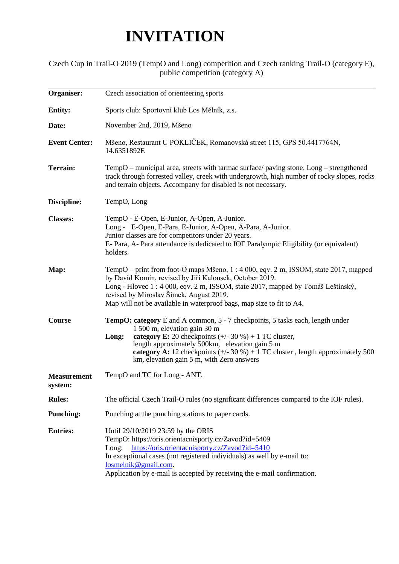## **INVITATION**

## Czech Cup in Trail-O 2019 (TempO and Long) competition and Czech ranking Trail-O (category E), public competition (category A)

| Organiser:                    | Czech association of orienteering sports                                                                                                                                                                                                                                                                                                                                    |  |  |
|-------------------------------|-----------------------------------------------------------------------------------------------------------------------------------------------------------------------------------------------------------------------------------------------------------------------------------------------------------------------------------------------------------------------------|--|--|
| <b>Entity:</b>                | Sports club: Sportovní klub Los Mělník, z.s.                                                                                                                                                                                                                                                                                                                                |  |  |
| Date:                         | November 2nd, 2019, Mšeno                                                                                                                                                                                                                                                                                                                                                   |  |  |
| <b>Event Center:</b>          | Mšeno, Restaurant U POKLIČEK, Romanovská street 115, GPS 50.4417764N,<br>14.6351892E                                                                                                                                                                                                                                                                                        |  |  |
| <b>Terrain:</b>               | TempO – municipal area, streets with tarmac surface/ paving stone. $Long -$ strengthened<br>track through forrested valley, creek with undergrowth, high number of rocky slopes, rocks<br>and terrain objects. Accompany for disabled is not necessary.                                                                                                                     |  |  |
| Discipline:                   | TempO, Long                                                                                                                                                                                                                                                                                                                                                                 |  |  |
| <b>Classes:</b>               | TempO - E-Open, E-Junior, A-Open, A-Junior.<br>Long - E-Open, E-Para, E-Junior, A-Open, A-Para, A-Junior.<br>Junior classes are for competitors under 20 years.<br>E- Para, A- Para attendance is dedicated to IOF Paralympic Eligibility (or equivalent)<br>holders.                                                                                                       |  |  |
| Map:                          | TempO – print from foot-O maps Mšeno, 1 : 4 000, eqv. 2 m, ISSOM, state 2017, mapped<br>by David Komín, revised by Jiří Kalousek, October 2019.<br>Long - Hlovec 1:4000, eqv. 2 m, ISSOM, state 2017, mapped by Tomáš Leštínský,<br>revised by Miroslav Šimek, August 2019.<br>Map will not be available in waterproof bags, map size to fit to A4.                         |  |  |
| Course                        | <b>TempO: category</b> E and A common, 5 - 7 checkpoints, 5 tasks each, length under<br>1 500 m, elevation gain 30 m<br>category E: 20 checkpoints $(+/- 30\%) + 1$ TC cluster,<br>Long:<br>length approximately 500km, elevation gain 5 m<br>category A: 12 checkpoints $(+/- 30\%) + 1$ TC cluster, length approximately 500<br>km, elevation gain 5 m, with Zero answers |  |  |
| <b>Measurement</b><br>system: | TempO and TC for Long - ANT.                                                                                                                                                                                                                                                                                                                                                |  |  |
| <b>Rules:</b>                 | The official Czech Trail-O rules (no significant differences compared to the IOF rules).                                                                                                                                                                                                                                                                                    |  |  |
| <b>Punching:</b>              | Punching at the punching stations to paper cards.                                                                                                                                                                                                                                                                                                                           |  |  |
| <b>Entries:</b>               | Until 29/10/2019 23:59 by the ORIS<br>TempO: https://oris.orientacnisporty.cz/Zavod?id=5409<br>https://oris.orientacnisporty.cz/Zavod?id=5410<br>Long:<br>In exceptional cases (not registered individuals) as well by e-mail to:<br>losmelnik@gmail.com.<br>Application by e-mail is accepted by receiving the e-mail confirmation.                                        |  |  |